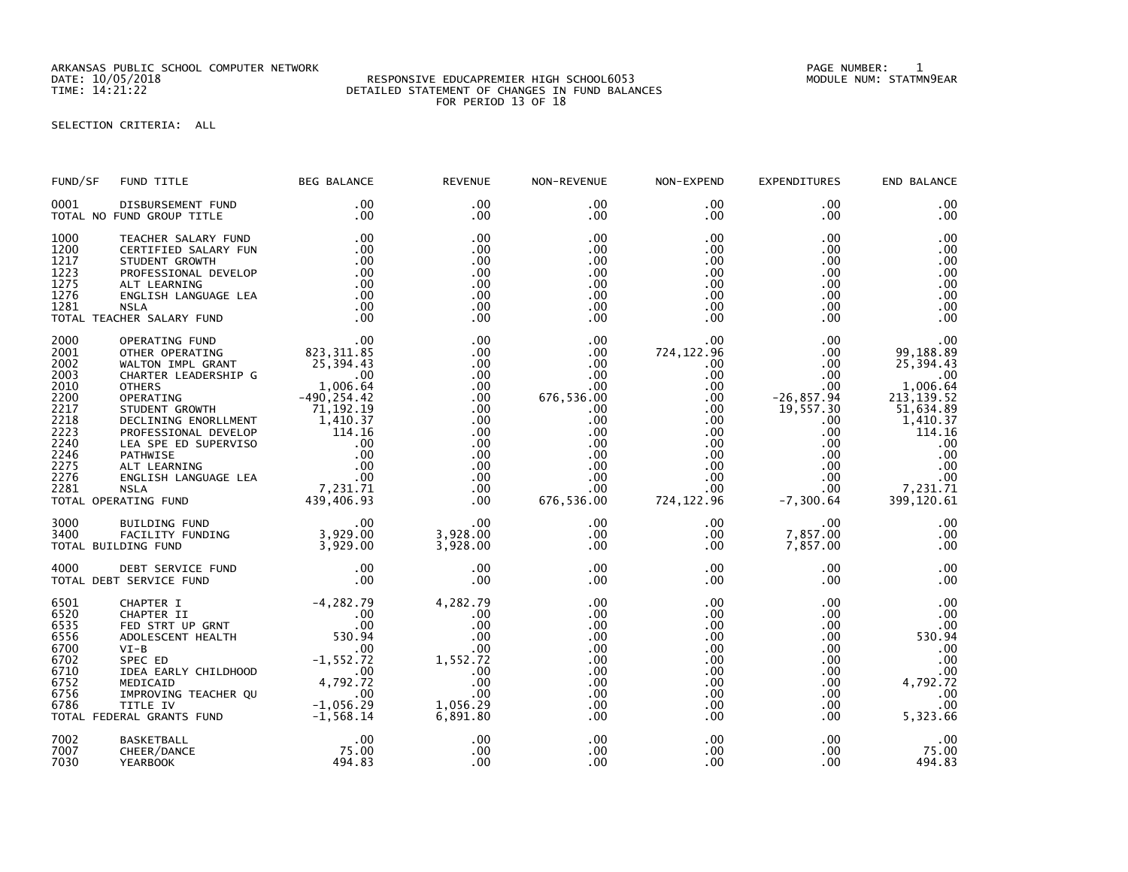ARKANSAS PUBLIC SCHOOL COMPUTER NETWORK PAGE NUMBER: 1

## DATE: 10/05/2018 RESPONSIVE EDUCAPREMIER HIGH SCHOOL6053 MODULE NUM: STATMN9EAR TIME: 14:21:22 DETAILED STATEMENT OF CHANGES IN FUND BALANCES FOR PERIOD 13 OF 18

SELECTION CRITERIA: ALL

| FUND/SF                                                                                                      | FUND TITLE                                                                                                                                                                                                                                                                                                                                                                               | <b>BEG BALANCE</b>                                                                                                 | <b>REVENUE</b>                                                                                                                 | NON-REVENUE                                                                                                                                                         | NON-EXPEND                                                                                                                                                                        | <b>EXPENDITURES</b>                                                                                                                                          | END BALANCE                                                                                                                                                   |
|--------------------------------------------------------------------------------------------------------------|------------------------------------------------------------------------------------------------------------------------------------------------------------------------------------------------------------------------------------------------------------------------------------------------------------------------------------------------------------------------------------------|--------------------------------------------------------------------------------------------------------------------|--------------------------------------------------------------------------------------------------------------------------------|---------------------------------------------------------------------------------------------------------------------------------------------------------------------|-----------------------------------------------------------------------------------------------------------------------------------------------------------------------------------|--------------------------------------------------------------------------------------------------------------------------------------------------------------|---------------------------------------------------------------------------------------------------------------------------------------------------------------|
| 0001                                                                                                         | DISBURSEMENT FUND<br>TOTAL NO FUND GROUP TITLE                                                                                                                                                                                                                                                                                                                                           | .00<br>.00                                                                                                         | .00<br>.00                                                                                                                     | $.00 \,$<br>$.00 \,$                                                                                                                                                | $.00 \,$<br>.00                                                                                                                                                                   | .00<br>.00                                                                                                                                                   | .00<br>.00                                                                                                                                                    |
| 1000<br>1200<br>1217<br>1223<br>1275<br>1276<br>1281                                                         | TEACHER SALARY FUND<br>CERTIFIED SALARY FUN<br>STUDENT GROWTH<br>PROFESSIONAL DEVELOP<br>ALT LEARNING<br>ENGLISH LANGUAGE LEA<br><b>NSLA</b><br>TOTAL TEACHER SALARY FUND                                                                                                                                                                                                                | .00<br>.00<br>.00<br>.00<br>.00<br>.00<br>.00<br>.00                                                               | .00<br>.00<br>.00<br>.00<br>.00<br>.00<br>.00<br>.00                                                                           | .00<br>$.00 \,$<br>.00<br>.00 <sub>1</sub><br>.00<br>.00<br>.00<br>$.00 \,$                                                                                         | .00<br>.00<br>.00<br>$.00 \,$<br>$.00 \cdot$<br>$.00 \,$<br>$.00 \,$<br>.00 <sub>1</sub>                                                                                          | .00<br>$.00 \,$<br>.00<br>.00<br>.00<br>.00<br>.00<br>.00                                                                                                    | .00<br>.00<br>.00<br>.00<br>.00<br>.00<br>.00<br>.00                                                                                                          |
| 2000<br>2001<br>2002<br>2003<br>2010<br>2200<br>2217<br>2218<br>2223<br>2240<br>2246<br>2275<br>2276<br>2281 | OPERATING FUND<br>OTHER OPERATING<br>WALTON IMPL GRANT<br>CHARTER LEADERSHIP G<br><b>OTHERS</b><br>OPERATING<br>STUDENT GROWTH<br>DECLINING ENORLLMENT<br>PECIFING ENORTMENT 1,410.37<br>PROFESSIONAL DEVELOP 114.16<br>LEA SPE ED SUPERVISO 00<br>PATHWISE 00<br>ALT LEARNING 00<br>ALT LEARNING 00<br>NSLA 7,231.71<br>NSLA 7,231.71<br>RATING FUND 439,406.93<br>TOTAL OPERATING FUND | 00 .<br>823 , 311 . 85 .<br>25 , 394 . 43<br>.00<br>00 .<br>1,006 . 64<br>$-490, 254.42$<br>71, 192.19<br>1,410.37 | .00<br>.00<br>$.00 \,$<br>.00<br>$.00 \,$<br>.00<br>$.00 \,$<br>.00<br>.00<br>.00<br>.00<br>$.00 \,$<br>.00<br>$.00 \,$<br>.00 | $.00 \,$<br>.00<br>.00<br>$.00 \,$<br>$.00 \,$<br>676,536.00<br>$.00 \,$<br>.00<br>.00 <sub>1</sub><br>$.00 \,$<br>$.00 \,$<br>.00<br>.00<br>$.00 \,$<br>676,536.00 | $.00 \,$<br>724, 122.96<br>$.00 \,$<br>$.00 \,$<br>$.00 \,$<br>.00<br>$.00 \,$<br>$.00 \,$<br>$.00 \,$<br>$.00 \,$<br>$.00 \,$<br>$.00 \,$<br>$.00 \,$<br>$.00 \,$<br>724, 122.96 | $.00 \,$<br>.00<br>.00<br>.00<br>$.00 \,$<br>$-26, 857.94$<br>19,557.30<br>$.00 \,$<br>.00<br>.00<br>$.00 \,$<br>$.00 \,$<br>.00<br>$.00 \,$<br>$-7, 300.64$ | .00<br>99,188.89<br>25,394.43<br>$.00 \,$<br>1,006.64<br>213, 139.52<br>51,634.89<br>1,410.37<br>114.16<br>.00<br>.00<br>.00<br>.00<br>7,231.71<br>399,120.61 |
| 3000<br>3400                                                                                                 | BUILDING FUND<br>FACILITY FUNDING<br>TOTAL BUILDING FUND                                                                                                                                                                                                                                                                                                                                 | .00<br>$3,929.00$<br>$3,929.00$                                                                                    | $.00 \,$<br>3,928.00<br>3,928.00                                                                                               | $.00 \,$<br>$.00 \,$<br>$.00 \,$                                                                                                                                    | $.00 \,$<br>$.00 \,$<br>$.00 \,$                                                                                                                                                  | $.00 \,$<br>7,857.00<br>7,857.00                                                                                                                             | .00<br>.00<br>.00                                                                                                                                             |
| 4000                                                                                                         | DEBT SERVICE FUND<br>TOTAL DEBT SERVICE FUND                                                                                                                                                                                                                                                                                                                                             | .00<br>.00                                                                                                         | .00<br>.00                                                                                                                     | $.00 \,$<br>.00                                                                                                                                                     | $.00 \,$<br>$.00 \,$                                                                                                                                                              | .00.<br>.00                                                                                                                                                  | .00<br>.00                                                                                                                                                    |
| 6501<br>6520<br>6535<br>6556<br>6700<br>6702<br>6710<br>6752<br>6756<br>6786                                 | IDEA EARLY CHILDHOOD<br>MEDICAID<br>IMPROVING TEACHER QU<br>TITLE IV<br>TOTAL FEDERAL GRANTS FUND                                                                                                                                                                                                                                                                                        | $00$<br>4,792.72<br>4,056.29<br>$-1,056.29$<br>$-1,568.14$                                                         | 4,282.79<br>.00<br>.00<br>.00<br>.00<br>1,552.72<br>.00<br>.00<br>.00<br>1,056.29<br>6,891.80                                  | $.00 \,$<br>$.00 \,$<br>.00<br>.00 <sub>1</sub><br>$.00 \,$<br>.00<br>.00<br>.00 <sub>1</sub><br>$.00 \,$<br>.00<br>$.00 \,$                                        | $.00 \,$<br>$.00 \,$<br>$.00 \,$<br>.00 <sub>1</sub><br>$.00 \,$<br>.00<br>$.00 \,$<br>$.00 \,$<br>$.00 \,$<br>$.00 \,$<br>.00                                                    | .00<br>.00<br>.00<br>$.00 \,$<br>.00<br>.00<br>.00<br>$.00 \,$<br>$.00 \,$<br>.00<br>$.00 \,$                                                                | .00<br>.00<br>.00<br>530.94<br>.00<br>.00<br>$00$ .<br>4,792.72<br>.00<br>.00<br>5,323.66                                                                     |
| 7002<br>7007<br>7030                                                                                         | <b>BASKETBALL</b><br>CHEER/DANCE<br><b>YEARBOOK</b>                                                                                                                                                                                                                                                                                                                                      | .00<br>75.00<br>494.83                                                                                             | .00<br>.00<br>.00                                                                                                              | $.00 \,$<br>.00<br>.00                                                                                                                                              | .00 <sub>1</sub><br>$.00 \,$<br>.00                                                                                                                                               | .00<br>.00<br>.00                                                                                                                                            | $.00 \,$<br>75.00<br>494.83                                                                                                                                   |